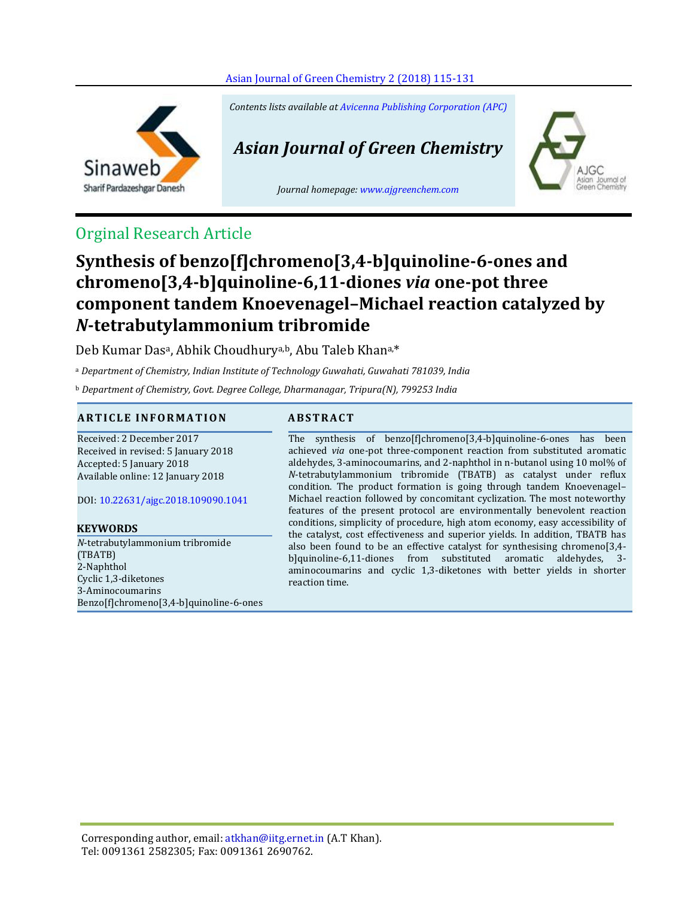#### [Asian Journal of Green Chemistry](http://www.ajgreenchem.com/article_55290.html) 2 (2018) 115-131



*Contents lists available at [Avicenna Publishing Corporation \(APC\)](http://www.avicenna.pub/)*

# *Asian Journal of Green Chemistry*

*Journal homepage: [www.ajgreenchem.com](http://www.ajgreenchem.com/)*



# Orginal Research Article

# **Synthesis of benzo[f]chromeno[3,4-b]quinoline-6-ones and chromeno[3,4-b]quinoline-6,11-diones** *via* **one-pot three component tandem Knoevenagel–Michael reaction catalyzed by**  *N***-tetrabutylammonium tribromide**

Deb Kumar Das<sup>a</sup>, Abhik Choudhury<sup>a,b</sup>, Abu Taleb Khan<sup>a,\*</sup>

<sup>a</sup> *Department of Chemistry, Indian Institute of Technology Guwahati, Guwahati 781039, India*

<sup>b</sup> *Department of Chemistry, Govt. Degree College, Dharmanagar, Tripura(N), 799253 India*

#### **A R T I C L E I N F O R M A T I O N A B S T R A C T**

Received: 2 December 2017 Received in revised: 5 January 2018 Accepted: 5 January 2018 Available online: 12 January 2018

DOI: [10.22631/ajgc.2018.109090.1041](http://www.ajgreenchem.com/article_55290.html)

#### **KEYWORDS**

*N*-tetrabutylammonium tribromide (TBATB) 2-Naphthol Cyclic 1,3-diketones 3-Aminocoumarins Benzo[f]chromeno[3,4-b]quinoline-6-ones

The synthesis of benzo[f]chromeno[3,4-b]quinoline-6-ones has been achieved *via* one-pot three-component reaction from substituted aromatic aldehydes, 3-aminocoumarins, and 2-naphthol in n-butanol using 10 mol% of *N*-tetrabutylammonium tribromide (TBATB) as catalyst under reflux condition. The product formation is going through tandem Knoevenagel– Michael reaction followed by concomitant cyclization. The most noteworthy features of the present protocol are environmentally benevolent reaction conditions, simplicity of procedure, high atom economy, easy accessibility of the catalyst, cost effectiveness and superior yields. In addition, TBATB has also been found to be an effective catalyst for synthesising chromeno[3,4 b]quinoline-6,11-diones from substituted aromatic aldehydes, 3 aminocoumarins and cyclic 1,3-diketones with better yields in shorter reaction time.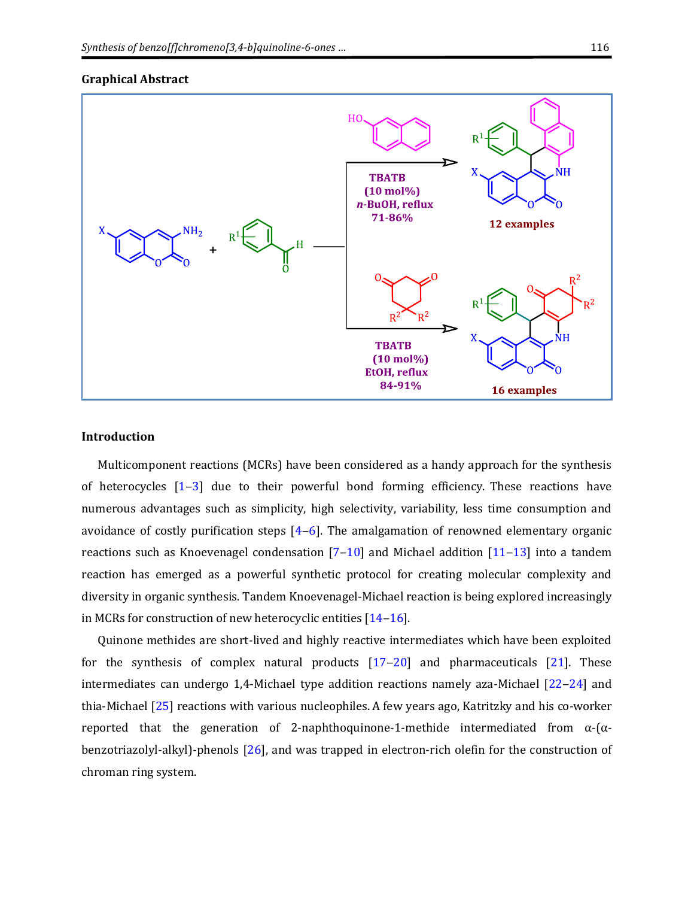#### **Graphical Abstract**



#### **Introduction**

Multicomponent reactions (MCRs) have been considered as a handy approach for the synthesis of heterocycles  $[1-3]$  $[1-3]$  $[1-3]$  due to their powerful bond forming efficiency. These reactions have numerous advantages such as simplicity, high selectivity, variability, less time consumption and avoidance of costly purification steps  $[4-6]$  $[4-6]$  $[4-6]$ . The amalgamation of renowned elementary organic reactions such as Knoevenagel condensation  $[7-10]$  $[7-10]$  $[7-10]$  and Michael addition  $[11-13]$  $[11-13]$  $[11-13]$  into a tandem reaction has emerged as a powerful synthetic protocol for creating molecular complexity and diversity in organic synthesis. Tandem Knoevenagel-Michael reaction is being explored increasingly in MCRs for construction of new heterocyclic entities  $[14-16]$  $[14-16]$  $[14-16]$ .

Quinone methides are short-lived and highly reactive intermediates which have been exploited for the synthesis of complex natural products  $[17-20]$  $[17-20]$  $[17-20]$  and pharmaceuticals  $[21]$ . These intermediates can undergo 1,4-Michael type addition reactions namely aza-Michael  $[22-24]$  $[22-24]$  $[22-24]$  and thia-Michael [\[25\]](#page-15-0) reactions with various nucleophiles. A few years ago, Katritzky and his co-worker reported that the generation of 2-naphthoquinone-1-methide intermediated from  $α$ -( $α$ benzotriazolyl-alkyl)-phenols [\[26\]](#page-15-1), and was trapped in electron-rich olefin for the construction of chroman ring system.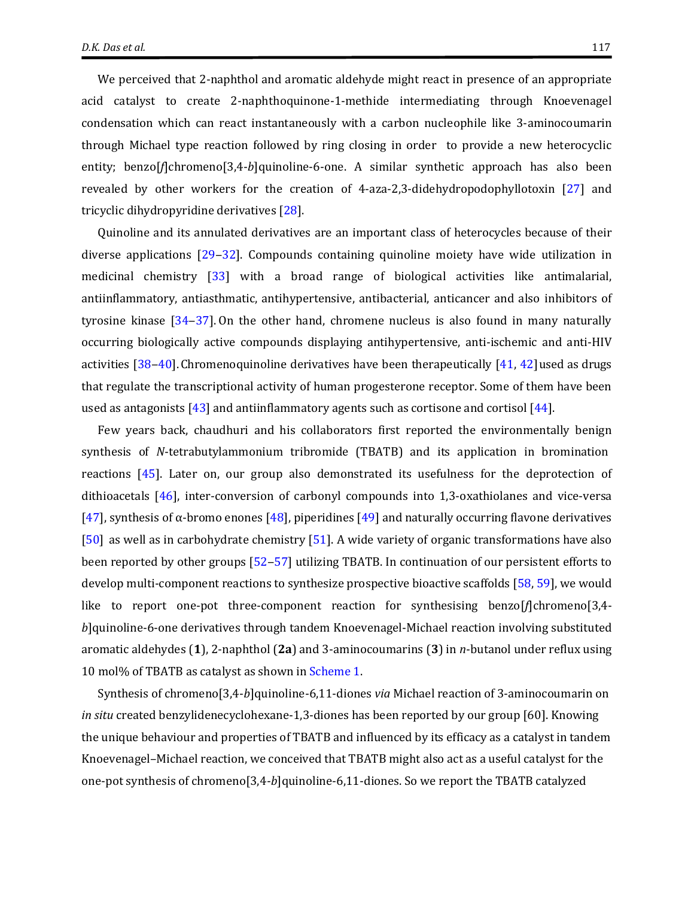We perceived that 2-naphthol and aromatic aldehyde might react in presence of an appropriate acid catalyst to create 2-naphthoquinone-1-methide intermediating through Knoevenagel condensation which can react instantaneously with a carbon nucleophile like 3-aminocoumarin through Michael type reaction followed by ring closing in order to provide a new heterocyclic entity; benzo[*f*]chromeno[3,4-*b*]quinoline-6-one. A similar synthetic approach has also been revealed by other workers for the creation of 4-aza-2,3-didehydropodophyllotoxin [\[27\]](#page-15-2) and tricyclic dihydropyridine derivatives [\[28\]](#page-15-3).

Quinoline and its annulated derivatives are an important class of heterocycles because of their diverse applications [\[29](#page-15-4)‒[32\]](#page-15-5). Compounds containing quinoline moiety have wide utilization in medicinal chemistry [\[33\]](#page-15-6) with a broad range of biological activities like antimalarial, antiinflammatory, antiasthmatic, antihypertensive, antibacterial, anticancer and also inhibitors of tyrosine kinase [\[34](#page-15-7)‒[37\]](#page-15-8). On the other hand, chromene nucleus is also found in many naturally occurring biologically active compounds displaying antihypertensive, anti-ischemic and anti-HIV activities  $[38-40]$  $[38-40]$  $[38-40]$ . Chromenoquinoline derivatives have been therapeutically  $[41, 42]$  $[41, 42]$  used as drugs that regulate the transcriptional activity of human progesterone receptor. Some of them have been used as antagonists  $[43]$  and antiinflammatory agents such as cortisone and cortisol  $[44]$ .

Few years back, chaudhuri and his collaborators first reported the environmentally benign synthesis of *N*-tetrabutylammonium tribromide (TBATB) and its application in bromination reactions [\[45\]](#page-15-15). Later on, our group also demonstrated its usefulness for the deprotection of dithioacetals [\[46\]](#page-15-16), inter-conversion of carbonyl compounds into 1,3-oxathiolanes and vice-versa [\[47](#page-16-0)], synthesis of α-bromo enones [\[48\]](#page-16-1), piperidines [\[49\]](#page-16-2) and naturally occurring flavone derivatives [\[50\]](#page-16-3) as well as in carbohydrate chemistry [\[51\]](#page-16-4). A wide variety of organic transformations have also been reported by other groups [\[52](#page-16-5)–[57\]](#page-16-6) utilizing TBATB. In continuation of our persistent efforts to develop multi-component reactions to synthesize prospective bioactive scaffolds [\[58,](#page-16-7) [59\]](#page-16-8), we would like to report one-pot three-component reaction for synthesising benzo[f]chromeno[3,4*b*]quinoline-6-one derivatives through tandem Knoevenagel-Michael reaction involving substituted aromatic aldehydes (**1**), 2-naphthol (**2a**) and 3-aminocoumarins (**3**) in *n*-butanol under reflux using 10 mol% of TBATB as catalyst as shown in [Scheme 1.](#page-4-0)

Synthesis of chromeno[3,4-*b*]quinoline-6,11-diones *via* Michael reaction of 3-aminocoumarin on *in situ* created benzylidenecyclohexane-1,3-diones has been reported by our group [60]. Knowing the unique behaviour and properties of TBATB and influenced by its efficacy as a catalyst in tandem Knoevenagel–Michael reaction, we conceived that TBATB might also act as a useful catalyst for the one-pot synthesis of chromeno[3,4-*b*]quinoline-6,11-diones. So we report the TBATB catalyzed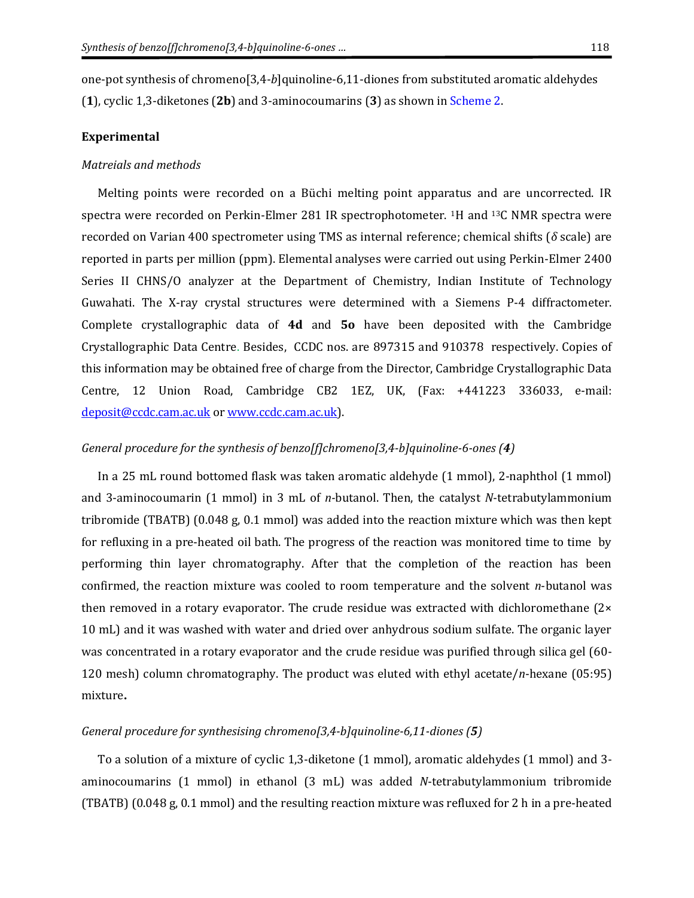one-pot synthesis of chromeno[3,4-*b*]quinoline-6,11-diones from substituted aromatic aldehydes (**1**), cyclic 1,3-diketones (**2b**) and 3-aminocoumarins (**3**) as shown i[n Scheme 2.](#page-4-1)

#### **Experimental**

#### *Matreials and methods*

Melting points were recorded on a Büchi melting point apparatus and are uncorrected. IR spectra were recorded on Perkin-Elmer 281 IR spectrophotometer. 1H and 13C NMR spectra were recorded on Varian 400 spectrometer using TMS as internal reference; chemical shifts (*δ* scale) are reported in parts per million (ppm). Elemental analyses were carried out using Perkin-Elmer 2400 Series II CHNS/O analyzer at the Department of Chemistry, Indian Institute of Technology Guwahati. The X-ray crystal structures were determined with a Siemens P-4 diffractometer. Complete crystallographic data of **4d** and **5o** have been deposited with the Cambridge Crystallographic Data Centre. Besides, CCDC nos. are 897315 and 910378 respectively. Copies of this information may be obtained free of charge from the Director, Cambridge Crystallographic Data Centre, 12 Union Road, Cambridge CB2 1EZ, UK, (Fax: +441223 336033, e-mail: [deposit@ccdc.cam.ac.uk](mailto:deposit@ccdc.cam.ac.uk) or [www.ccdc.cam.ac.uk\)](http://www.ccdc.cam.ac.uk/).

### *General procedure for the synthesis of benzo[f]chromeno[3,4-b]quinoline-6-ones (4)*

In a 25 mL round bottomed flask was taken aromatic aldehyde (1 mmol), 2-naphthol (1 mmol) and 3-aminocoumarin (1 mmol) in 3 mL of *n-*butanol. Then, the catalyst *N*-tetrabutylammonium tribromide (TBATB) (0.048 g, 0.1 mmol) was added into the reaction mixture which was then kept for refluxing in a pre-heated oil bath. The progress of the reaction was monitored time to time by performing thin layer chromatography. After that the completion of the reaction has been confirmed, the reaction mixture was cooled to room temperature and the solvent *n*-butanol was then removed in a rotary evaporator. The crude residue was extracted with dichloromethane (2× 10 mL) and it was washed with water and dried over anhydrous sodium sulfate. The organic layer was concentrated in a rotary evaporator and the crude residue was purified through silica gel (60- 120 mesh) column chromatography. The product was eluted with ethyl acetate/*n*-hexane (05:95) mixture**.**

#### *General procedure for synthesising chromeno[3,4-b]quinoline-6,11-diones (5)*

To a solution of a mixture of cyclic 1,3-diketone (1 mmol), aromatic aldehydes (1 mmol) and 3 aminocoumarins (1 mmol) in ethanol (3 mL) was added *N*-tetrabutylammonium tribromide (TBATB) (0.048 g, 0.1 mmol) and the resulting reaction mixture was refluxed for 2 h in a pre-heated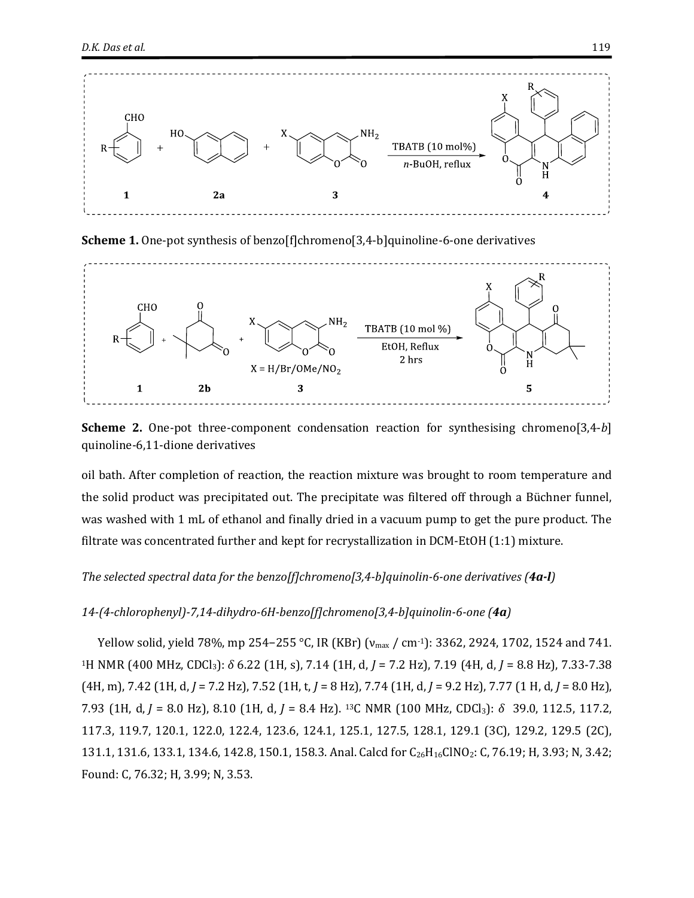

<span id="page-4-0"></span>**Scheme 1.** One-pot synthesis of benzo[f]chromeno[3,4-b]quinoline-6-one derivatives



<span id="page-4-1"></span>**Scheme 2.** One-pot three-component condensation reaction for synthesising chromeno[3,4-*b*] quinoline-6,11-dione derivatives

oil bath. After completion of reaction, the reaction mixture was brought to room temperature and the solid product was precipitated out. The precipitate was filtered off through a Büchner funnel, was washed with 1 mL of ethanol and finally dried in a vacuum pump to get the pure product. The filtrate was concentrated further and kept for recrystallization in DCM-EtOH (1:1) mixture.

#### *The selected spectral data for the benzo[f]chromeno[3,4-b]quinolin-6-one derivatives (4a-l)*

#### *14-(4-chlorophenyl)-7,14-dihydro-6H-benzo[f]chromeno[3,4-b]quinolin-6-one (4a)*

Yellow solid, yield 78%, mp 254−255 °C, IR (KBr) ( $v_{\text{max}}$  / cm<sup>-1</sup>): 3362, 2924, 1702, 1524 and 741. <sup>1</sup>H NMR (400 MHz, CDCl3): *δ* 6.22 (1H, s), 7.14 (1H, d, *J* = 7.2 Hz), 7.19 (4H, d, *J* = 8.8 Hz), 7.33-7.38 (4H, m), 7.42 (1H, d, *J* = 7.2 Hz), 7.52 (1H, t, *J* = 8 Hz), 7.74 (1H, d, *J* = 9.2 Hz), 7.77 (1 H, d, *J* = 8.0 Hz), 7.93 (1H, d, *J* = 8.0 Hz), 8.10 (1H, d, *J* = 8.4 Hz). 13C NMR (100 MHz, CDCl3): *δ* 39.0, 112.5, 117.2, 117.3, 119.7, 120.1, 122.0, 122.4, 123.6, 124.1, 125.1, 127.5, 128.1, 129.1 (3C), 129.2, 129.5 (2C), 131.1, 131.6, 133.1, 134.6, 142.8, 150.1, 158.3. Anal. Calcd for C<sub>26</sub>H<sub>16</sub>ClNO<sub>2</sub>: C, 76.19; H, 3.93; N, 3.42; Found: C, 76.32; H, 3.99; N, 3.53.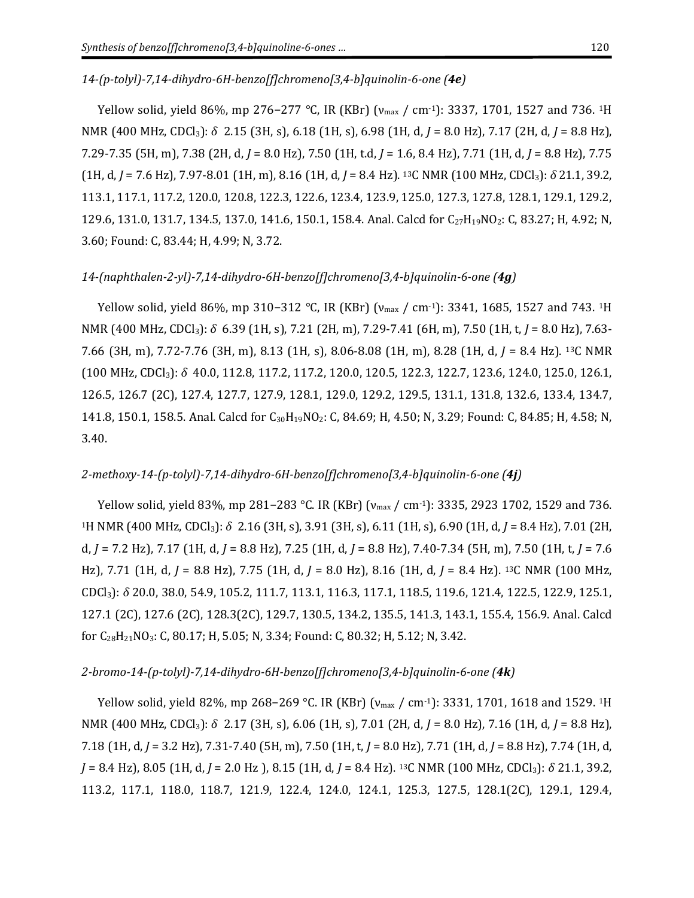#### *14-(p-tolyl)-7,14-dihydro-6H-benzo[f]chromeno[3,4-b]quinolin-6-one (4e)*

Yellow solid, yield 86%, mp 276−277 °C, IR (KBr) (v<sub>max</sub> / cm<sup>-1</sup>): 3337, 1701, 1527 and 736. <sup>1</sup>H NMR (400 MHz, CDCl3): *δ* 2.15 (3H, s), 6.18 (1H, s), 6.98 (1H, d, *J* = 8.0 Hz), 7.17 (2H, d, *J* = 8.8 Hz), 7.29-7.35 (5H, m), 7.38 (2H, d, *J* = 8.0 Hz), 7.50 (1H, t.d, *J* = 1.6, 8.4 Hz), 7.71 (1H, d, *J* = 8.8 Hz), 7.75 (1H, d, *J* = 7.6 Hz), 7.97-8.01 (1H, m), 8.16 (1H, d, *J* = 8.4 Hz). 13C NMR (100 MHz, CDCl3): *δ* 21.1, 39.2, 113.1, 117.1, 117.2, 120.0, 120.8, 122.3, 122.6, 123.4, 123.9, 125.0, 127.3, 127.8, 128.1, 129.1, 129.2, 129.6, 131.0, 131.7, 134.5, 137.0, 141.6, 150.1, 158.4. Anal. Calcd for C<sub>27</sub>H<sub>19</sub>NO<sub>2</sub>: C, 83.27; H, 4.92; N, 3.60; Found: C, 83.44; H, 4.99; N, 3.72.

#### *14-(naphthalen-2-yl)-7,14-dihydro-6H-benzo[f]chromeno[3,4-b]quinolin-6-one (4g)*

Yellow solid, yield 86%, mp 310−312 °C, IR (KBr) (v<sub>max</sub> / cm·<sup>1</sup>): 3341, 1685, 1527 and 743. <sup>1</sup>H NMR (400 MHz, CDCl3): *δ* 6.39 (1H, s), 7.21 (2H, m), 7.29-7.41 (6H, m), 7.50 (1H, t, *J* = 8.0 Hz), 7.63- 7.66 (3H, m), 7.72-7.76 (3H, m), 8.13 (1H, s), 8.06-8.08 (1H, m), 8.28 (1H, d, *J* = 8.4 Hz). <sup>13</sup>C NMR (100 MHz, CDCl3): *δ* 40.0, 112.8, 117.2, 117.2, 120.0, 120.5, 122.3, 122.7, 123.6, 124.0, 125.0, 126.1, 126.5, 126.7 (2C), 127.4, 127.7, 127.9, 128.1, 129.0, 129.2, 129.5, 131.1, 131.8, 132.6, 133.4, 134.7, 141.8, 150.1, 158.5. Anal. Calcd for C30H19NO2: C, 84.69; H, 4.50; N, 3.29; Found: C, 84.85; H, 4.58; N, 3.40.

#### *2-methoxy-14-(p-tolyl)-7,14-dihydro-6H-benzo[f]chromeno[3,4-b]quinolin-6-one (4j)*

Yellow solid, yield 83%, mp 281−283 °C. IR (KBr) (v<sub>max</sub> / cm<sup>-1</sup>): 3335, 2923 1702, 1529 and 736. <sup>1</sup>H NMR (400 MHz, CDCl3): *δ* 2.16 (3H, s), 3.91 (3H, s), 6.11 (1H, s), 6.90 (1H, d, *J* = 8.4 Hz), 7.01 (2H, d, *J* = 7.2 Hz), 7.17 (1H, d, *J* = 8.8 Hz), 7.25 (1H, d, *J* = 8.8 Hz), 7.40-7.34 (5H, m), 7.50 (1H, t, *J* = 7.6 Hz), 7.71 (1H, d, *J* = 8.8 Hz), 7.75 (1H, d, *J* = 8.0 Hz), 8.16 (1H, d, *J* = 8.4 Hz). <sup>13</sup>C NMR (100 MHz, CDCl3): *δ* 20.0, 38.0, 54.9, 105.2, 111.7, 113.1, 116.3, 117.1, 118.5, 119.6, 121.4, 122.5, 122.9, 125.1, 127.1 (2C), 127.6 (2C), 128.3(2C), 129.7, 130.5, 134.2, 135.5, 141.3, 143.1, 155.4, 156.9. Anal. Calcd for C28H21NO3: C, 80.17; H, 5.05; N, 3.34; Found: C, 80.32; H, 5.12; N, 3.42.

#### *2-bromo-14-(p-tolyl)-7,14-dihydro-6H-benzo[f]chromeno[3,4-b]quinolin-6-one (4k)*

Yellow solid, yield 82%, mp 268−269 °C. IR (KBr) (v<sub>max</sub> / cm<sup>-1</sup>): 3331, 1701, 1618 and 1529. <sup>1</sup>H NMR (400 MHz, CDCl3): *δ* 2.17 (3H, s), 6.06 (1H, s), 7.01 (2H, d, *J* = 8.0 Hz), 7.16 (1H, d, *J* = 8.8 Hz), 7.18 (1H, d, *J* = 3.2 Hz), 7.31-7.40 (5H, m), 7.50 (1H, t, *J* = 8.0 Hz), 7.71 (1H, d, *J* = 8.8 Hz), 7.74 (1H, d, *J* = 8.4 Hz), 8.05 (1H, d, *J* = 2.0 Hz ), 8.15 (1H, d, *J* = 8.4 Hz). 13C NMR (100 MHz, CDCl3): *δ* 21.1, 39.2, 113.2, 117.1, 118.0, 118.7, 121.9, 122.4, 124.0, 124.1, 125.3, 127.5, 128.1(2C), 129.1, 129.4,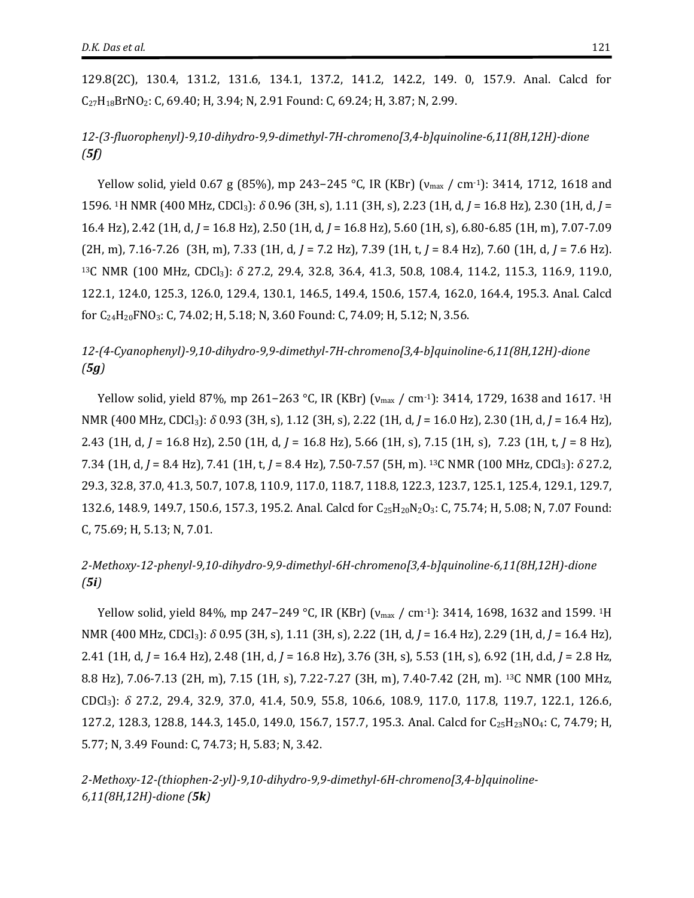129.8(2C), 130.4, 131.2, 131.6, 134.1, 137.2, 141.2, 142.2, 149. 0, 157.9. Anal. Calcd for C27H18BrNO2: C, 69.40; H, 3.94; N, 2.91 Found: C, 69.24; H, 3.87; N, 2.99.

*12-(3-fluorophenyl)-9,10-dihydro-9,9-dimethyl-7H-chromeno[3,4-b]quinoline-6,11(8H,12H)-dione (5f)*

Yellow solid, yield 0.67 g (85%), mp 243−245 °C, IR (KBr) (v<sub>max</sub> / cm·1): 3414, 1712, 1618 and 1596. <sup>1</sup>H NMR (400 MHz, CDCl3): *δ* 0.96 (3H, s), 1.11 (3H, s), 2.23 (1H, d, *J* = 16.8 Hz), 2.30 (1H, d, *J* = 16.4 Hz), 2.42 (1H, d, *J* = 16.8 Hz), 2.50 (1H, d, *J* = 16.8 Hz), 5.60 (1H, s), 6.80-6.85 (1H, m), 7.07-7.09 (2H, m), 7.16-7.26 (3H, m), 7.33 (1H, d, *J* = 7.2 Hz), 7.39 (1H, t, *J* = 8.4 Hz), 7.60 (1H, d, *J* = 7.6 Hz). <sup>13</sup>C NMR (100 MHz, CDCl3): *δ* 27.2, 29.4, 32.8, 36.4, 41.3, 50.8, 108.4, 114.2, 115.3, 116.9, 119.0, 122.1, 124.0, 125.3, 126.0, 129.4, 130.1, 146.5, 149.4, 150.6, 157.4, 162.0, 164.4, 195.3. Anal. Calcd for C24H20FNO3: C, 74.02; H, 5.18; N, 3.60 Found: C, 74.09; H, 5.12; N, 3.56.

## *12-(4-Cyanophenyl)-9,10-dihydro-9,9-dimethyl-7H-chromeno[3,4-b]quinoline-6,11(8H,12H)-dione (5g)*

Yellow solid, yield 87%, mp 261–263 °C, IR (KBr) (v<sub>max</sub> / cm<sup>-1</sup>): 3414, 1729, 1638 and 1617. <sup>1</sup>H NMR (400 MHz, CDCl3): *δ* 0.93 (3H, s), 1.12 (3H, s), 2.22 (1H, d, *J* = 16.0 Hz), 2.30 (1H, d, *J* = 16.4 Hz), 2.43 (1H, d, *J* = 16.8 Hz), 2.50 (1H, d, *J* = 16.8 Hz), 5.66 (1H, s), 7.15 (1H, s), 7.23 (1H, t, *J* = 8 Hz), 7.34 (1H, d, *J* = 8.4 Hz), 7.41 (1H, t, *J* = 8.4 Hz), 7.50-7.57 (5H, m). 13C NMR (100 MHz, CDCl3): *δ* 27.2, 29.3, 32.8, 37.0, 41.3, 50.7, 107.8, 110.9, 117.0, 118.7, 118.8, 122.3, 123.7, 125.1, 125.4, 129.1, 129.7, 132.6, 148.9, 149.7, 150.6, 157.3, 195.2. Anal. Calcd for C<sub>25</sub>H<sub>20</sub>N<sub>2</sub>O<sub>3</sub>: C, 75.74; H, 5.08; N, 7.07 Found: C, 75.69; H, 5.13; N, 7.01.

## *2-Methoxy-12-phenyl-9,10-dihydro-9,9-dimethyl-6H-chromeno[3,4-b]quinoline-6,11(8H,12H)-dione (5i)*

Yellow solid, yield 84%, mp 247−249 °C, IR (KBr) (v<sub>max</sub> / cm<sup>-1</sup>): 3414, 1698, 1632 and 1599. <sup>1</sup>H NMR (400 MHz, CDCl3): *δ* 0.95 (3H, s), 1.11 (3H, s), 2.22 (1H, d, *J* = 16.4 Hz), 2.29 (1H, d, *J* = 16.4 Hz), 2.41 (1H, d, *J* = 16.4 Hz), 2.48 (1H, d, *J* = 16.8 Hz), 3.76 (3H, s), 5.53 (1H, s), 6.92 (1H, d.d, *J* = 2.8 Hz, 8.8 Hz), 7.06-7.13 (2H, m), 7.15 (1H, s), 7.22-7.27 (3H, m), 7.40-7.42 (2H, m). 13C NMR (100 MHz, CDCl3): *δ* 27.2, 29.4, 32.9, 37.0, 41.4, 50.9, 55.8, 106.6, 108.9, 117.0, 117.8, 119.7, 122.1, 126.6, 127.2, 128.3, 128.8, 144.3, 145.0, 149.0, 156.7, 157.7, 195.3. Anal. Calcd for C25H23NO4: C, 74.79; H, 5.77; N, 3.49 Found: C, 74.73; H, 5.83; N, 3.42.

*2-Methoxy-12-(thiophen-2-yl)-9,10-dihydro-9,9-dimethyl-6H-chromeno[3,4-b]quinoline-6,11(8H,12H)-dione (5k)*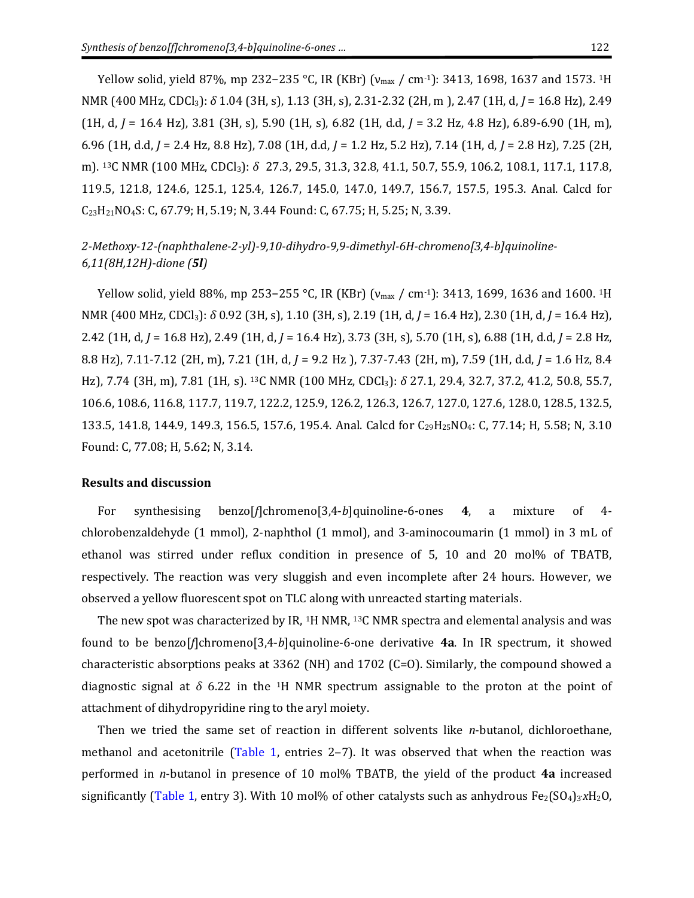Yellow solid, yield 87%, mp 232−235 °C, IR (KBr) (v<sub>max</sub> / cm<sup>-1</sup>): 3413, 1698, 1637 and 1573. <sup>1</sup>H NMR (400 MHz, CDCl3): *δ* 1.04 (3H, s), 1.13 (3H, s), 2.31-2.32 (2H, m ), 2.47 (1H, d, *J* = 16.8 Hz), 2.49 (1H, d, *J* = 16.4 Hz), 3.81 (3H, s), 5.90 (1H, s), 6.82 (1H, d.d, *J* = 3.2 Hz, 4.8 Hz), 6.89-6.90 (1H, m), 6.96 (1H, d.d, *J* = 2.4 Hz, 8.8 Hz), 7.08 (1H, d.d, *J* = 1.2 Hz, 5.2 Hz), 7.14 (1H, d, *J* = 2.8 Hz), 7.25 (2H, m). <sup>13</sup>C NMR (100 MHz, CDCl<sub>3</sub>): δ 27.3, 29.5, 31.3, 32.8, 41.1, 50.7, 55.9, 106.2, 108.1, 117.1, 117.8, 119.5, 121.8, 124.6, 125.1, 125.4, 126.7, 145.0, 147.0, 149.7, 156.7, 157.5, 195.3. Anal. Calcd for C23H21NO4S: C, 67.79; H, 5.19; N, 3.44 Found: C, 67.75; H, 5.25; N, 3.39.

## *2-Methoxy-12-(naphthalene-2-yl)-9,10-dihydro-9,9-dimethyl-6H-chromeno[3,4-b]quinoline-6,11(8H,12H)-dione (5l)*

Yellow solid, yield 88%, mp 253−255 °C, IR (KBr) (v<sub>max</sub> / cm<sup>-1</sup>): 3413, 1699, 1636 and 1600. <sup>1</sup>H NMR (400 MHz, CDCl3): *δ* 0.92 (3H, s), 1.10 (3H, s), 2.19 (1H, d, *J* = 16.4 Hz), 2.30 (1H, d, *J* = 16.4 Hz), 2.42 (1H, d, *J* = 16.8 Hz), 2.49 (1H, d, *J* = 16.4 Hz), 3.73 (3H, s), 5.70 (1H, s), 6.88 (1H, d.d, *J* = 2.8 Hz, 8.8 Hz), 7.11-7.12 (2H, m), 7.21 (1H, d, *J* = 9.2 Hz ), 7.37-7.43 (2H, m), 7.59 (1H, d.d, *J* = 1.6 Hz, 8.4 Hz), 7.74 (3H, m), 7.81 (1H, s). 13C NMR (100 MHz, CDCl3): *δ* 27.1, 29.4, 32.7, 37.2, 41.2, 50.8, 55.7, 106.6, 108.6, 116.8, 117.7, 119.7, 122.2, 125.9, 126.2, 126.3, 126.7, 127.0, 127.6, 128.0, 128.5, 132.5, 133.5, 141.8, 144.9, 149.3, 156.5, 157.6, 195.4. Anal. Calcd for C<sub>29</sub>H<sub>25</sub>NO<sub>4</sub>: C, 77.14; H, 5.58; N, 3.10 Found: C, 77.08; H, 5.62; N, 3.14.

#### **Results and discussion**

For synthesising benzo[*f*]chromeno[3,4-*b*]quinoline-6-ones **4**, a mixture of 4 chlorobenzaldehyde (1 mmol), 2-naphthol (1 mmol), and 3-aminocoumarin (1 mmol) in 3 mL of ethanol was stirred under reflux condition in presence of 5, 10 and 20 mol% of TBATB, respectively. The reaction was very sluggish and even incomplete after 24 hours. However, we observed a yellow fluorescent spot on TLC along with unreacted starting materials.

The new spot was characterized by IR, <sup>1</sup>H NMR, <sup>13</sup>C NMR spectra and elemental analysis and was found to be benzo[*f*]chromeno[3,4-*b*]quinoline-6-one derivative **4a**. In IR spectrum, it showed characteristic absorptions peaks at 3362 (NH) and 1702 (C=O). Similarly, the compound showed a diagnostic signal at  $\delta$  6.22 in the <sup>1</sup>H NMR spectrum assignable to the proton at the point of attachment of dihydropyridine ring to the aryl moiety.

Then we tried the same set of reaction in different solvents like *n*-butanol, dichloroethane, methanol and acetonitrile [\(Table 1,](#page-8-0) entries  $2-7$ ). It was observed that when the reaction was performed in *n*-butanol in presence of 10 mol% TBATB, the yield of the product **4a** increased significantly [\(Table 1,](#page-8-0) entry 3). With 10 mol% of other catalysts such as anhydrous Fe2(SO<sub>4</sub>)3xH<sub>2</sub>O,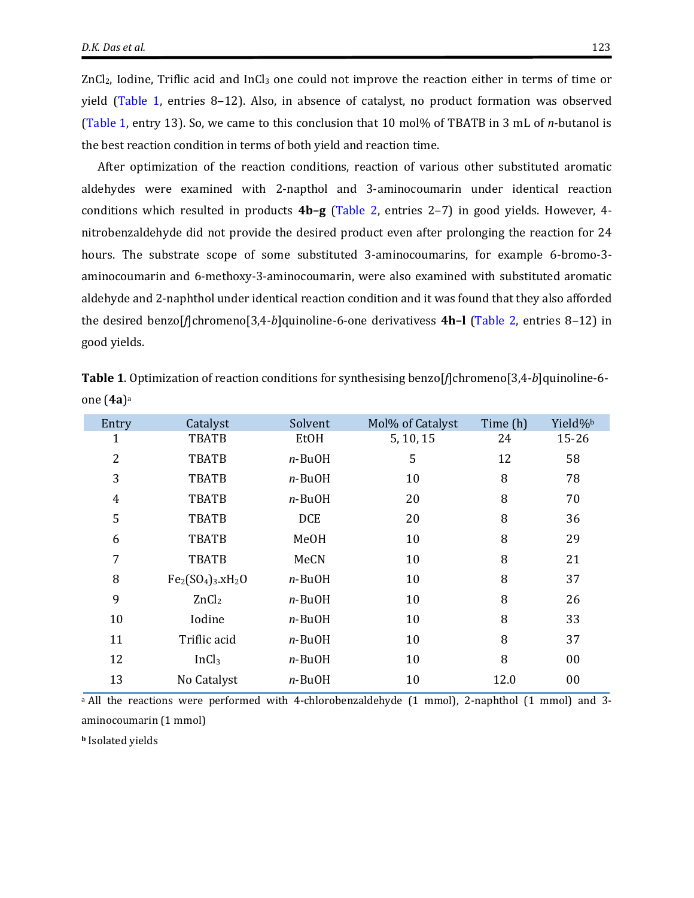ZnCl2, Iodine, Triflic acid and InCl<sup>3</sup> one could not improve the reaction either in terms of time or yield [\(Table 1,](#page-8-0) entries 8–12). Also, in absence of catalyst, no product formation was observed [\(Table](#page-8-0) 1, entry 13). So, we came to this conclusion that 10 mol% of TBATB in 3 mL of *n*-butanol is the best reaction condition in terms of both yield and reaction time.

After optimization of the reaction conditions, reaction of various other substituted aromatic aldehydes were examined with 2-napthol and 3-aminocoumarin under identical reaction conditions which resulted in products **4b–g** [\(Table 2,](#page-9-0) entries 2‒7) in good yields. However, 4 nitrobenzaldehyde did not provide the desired product even after prolonging the reaction for 24 hours. The substrate scope of some substituted 3-aminocoumarins, for example 6-bromo-3 aminocoumarin and 6-methoxy-3-aminocoumarin, were also examined with substituted aromatic aldehyde and 2-naphthol under identical reaction condition and it was found that they also afforded the desired benzo[*f*]chromeno[3,4-*b*]quinoline-6-one derivativess **4h–l** [\(Table 2,](#page-9-0) entries 8‒12) in good yields.

| Entry          | Catalyst          | Solvent     | Mol% of Catalyst | Time (h) | Yield% <sup>b</sup> |  |
|----------------|-------------------|-------------|------------------|----------|---------------------|--|
| 1              | <b>TBATB</b>      | EtOH        | 5, 10, 15        | 24       | $15 - 26$           |  |
| $\overline{2}$ | <b>TBATB</b>      | $n$ -BuOH   | 5                | 12       | 58                  |  |
| 3              | <b>TBATB</b>      | $n$ -BuOH   | 10               | 8        | 78                  |  |
| $\overline{4}$ | <b>TBATB</b>      | $n$ -BuOH   | 20               | 8        | 70                  |  |
| 5              | <b>TBATB</b>      | <b>DCE</b>  | 20               | 8        | 36                  |  |
| 6              | <b>TBATB</b>      | <b>MeOH</b> | 10               | 8        | 29                  |  |
| 7              | <b>TBATB</b>      | MeCN        | 10               | 8        | 21                  |  |
| 8              | $Fe2(SO4)3.xH2O$  | $n$ -BuOH   | 10               | 8        | 37                  |  |
| 9              | ZnCl <sub>2</sub> | $n$ -BuOH   | 10               | 8        | 26                  |  |
| 10             | Iodine            | $n$ -BuOH   | 10               | 8        | 33                  |  |
| 11             | Triflic acid      | $n$ -BuOH   | 10               | 8        | 37                  |  |
| 12             | InCl <sub>3</sub> | $n$ -BuOH   | 10               | 8        | 00                  |  |
| 13             | No Catalyst       | $n$ -BuOH   | 10               | 12.0     | 00                  |  |

<span id="page-8-0"></span>**Table 1**. Optimization of reaction conditions for synthesising benzo[*f*]chromeno[3,4-*b*]quinoline-6 one (**4a**) a

<sup>a</sup> All the reactions were performed with 4-chlorobenzaldehyde (1 mmol), 2-naphthol (1 mmol) and 3aminocoumarin (1 mmol)

**<sup>b</sup>** Isolated yields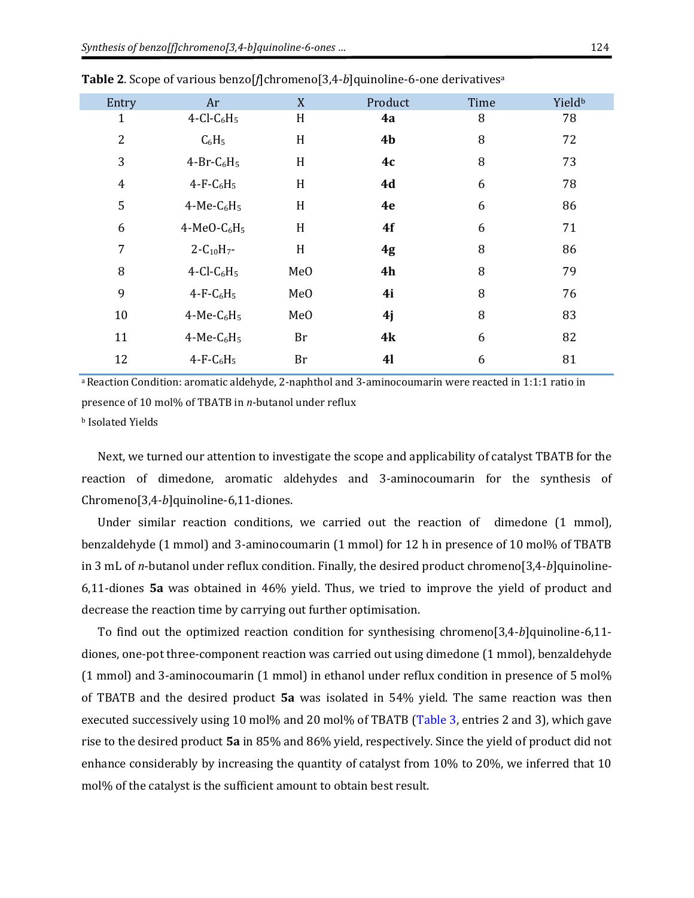| Entry          | Ar                                    | X               | Product        | Time | Yield <sup>b</sup> |
|----------------|---------------------------------------|-----------------|----------------|------|--------------------|
| 1              | $4$ -Cl-C <sub>6</sub> H <sub>5</sub> | H               | 4a             | 8    | 78                 |
| $\overline{2}$ | $C_6H_5$                              | H               | 4 <sub>b</sub> | 8    | 72                 |
| 3              | $4-Br-C6H5$                           | H               | 4c             | 8    | 73                 |
| $\overline{4}$ | $4-F-C6H5$                            | H               | 4d             | 6    | 78                 |
| 5              | $4-Me-C6H5$                           | H               | 4e             | 6    | 86                 |
| 6              | 4-MeO- $C_6H_5$                       | H               | 4f             | 6    | 71                 |
| 7              | $2 - C_{10}H_{7}$ -                   | H               | 4g             | 8    | 86                 |
| 8              | $4$ -Cl-C <sub>6</sub> H <sub>5</sub> | Me <sub>O</sub> | 4h             | 8    | 79                 |
| 9              | $4-F-C6H5$                            | Me <sub>O</sub> | 4i             | 8    | 76                 |
| 10             | $4-Me-C6H5$                           | Me <sub>O</sub> | 4j             | 8    | 83                 |
| 11             | $4-Me-C6H5$                           | Br              | 4k             | 6    | 82                 |
| 12             | $4-F-C6H5$                            | Br              | <b>41</b>      | 6    | 81                 |

<span id="page-9-0"></span>**Table 2**. Scope of various benzo[*f*]chromeno[3,4-*b*]quinoline-6-one derivatives<sup>a</sup>

a Reaction Condition: aromatic aldehyde, 2-naphthol and 3-aminocoumarin were reacted in 1:1:1 ratio in presence of 10 mol% of TBATB in *n*-butanol under reflux <sup>b</sup> Isolated Yields

Next, we turned our attention to investigate the scope and applicability of catalyst TBATB for the reaction of dimedone, aromatic aldehydes and 3-aminocoumarin for the synthesis of Chromeno[3,4-*b*]quinoline-6,11-diones.

Under similar reaction conditions, we carried out the reaction of dimedone (1 mmol), benzaldehyde (1 mmol) and 3-aminocoumarin (1 mmol) for 12 h in presence of 10 mol% of TBATB in 3 mL of *n*-butanol under reflux condition. Finally, the desired product chromeno[3,4-*b*]quinoline-6,11-diones **5a** was obtained in 46% yield. Thus, we tried to improve the yield of product and decrease the reaction time by carrying out further optimisation.

To find out the optimized reaction condition for synthesising chromeno[3,4-*b*]quinoline-6,11 diones, one-pot three-component reaction was carried out using dimedone (1 mmol), benzaldehyde (1 mmol) and 3-aminocoumarin (1 mmol) in ethanol under reflux condition in presence of 5 mol% of TBATB and the desired product **5a** was isolated in 54% yield. The same reaction was then executed successively using 10 mol% and 20 mol% of TBATB [\(Table 3,](#page-10-0) entries 2 and 3), which gave rise to the desired product **5a** in 85% and 86% yield, respectively. Since the yield of product did not enhance considerably by increasing the quantity of catalyst from 10% to 20%, we inferred that 10 mol% of the catalyst is the sufficient amount to obtain best result.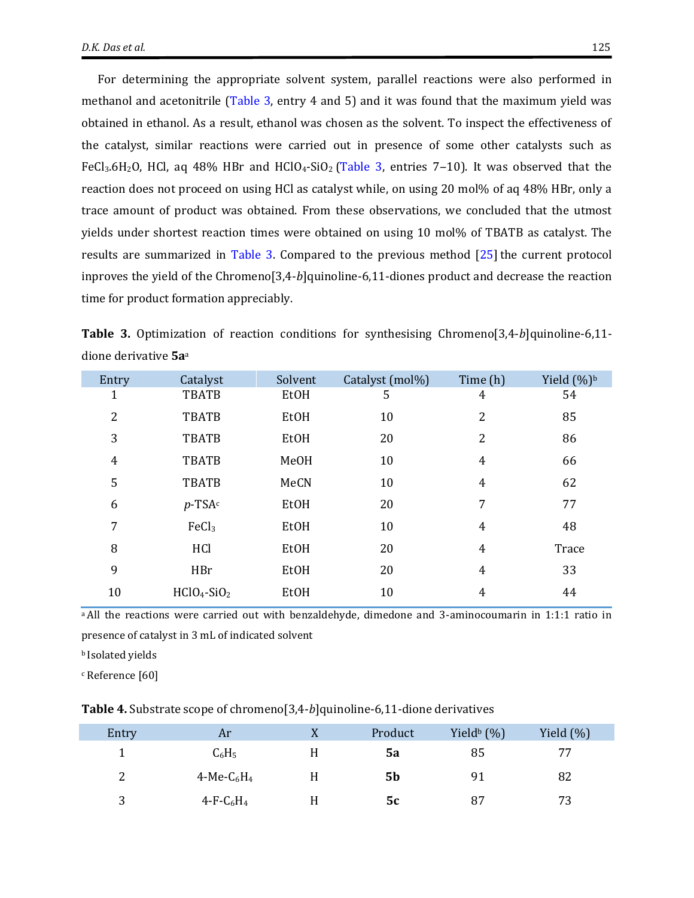For determining the appropriate solvent system, parallel reactions were also performed in methanol and acetonitrile [\(Table 3,](#page-10-0) entry 4 and 5) and it was found that the maximum yield was obtained in ethanol. As a result, ethanol was chosen as the solvent. To inspect the effectiveness of the catalyst, similar reactions were carried out in presence of some other catalysts such as FeCl<sub>3</sub>.6H<sub>2</sub>O, HCl, aq 48% HBr and HClO<sub>4</sub>-SiO<sub>2</sub> [\(Table 3,](#page-10-0) entries 7–10). It was observed that the reaction does not proceed on using HCl as catalyst while, on using 20 mol% of aq 48% HBr, only a trace amount of product was obtained. From these observations, we concluded that the utmost yields under shortest reaction times were obtained on using 10 mol% of TBATB as catalyst. The results are summarized in [Table 3.](#page-10-0) Compared to the previous method  $[25]$  the current protocol inproves the yield of the Chromeno[3,4-*b*]quinoline-6,11-diones product and decrease the reaction time for product formation appreciably.

<span id="page-10-0"></span>**Table 3.** Optimization of reaction conditions for synthesising Chromeno[3,4-*b*]quinoline-6,11 dione derivative **5a**<sup>a</sup>

| Entry          | Catalyst          | Solvent | Catalyst (mol%) | Time (h)       | Yield $(\%)^b$ |
|----------------|-------------------|---------|-----------------|----------------|----------------|
| 1              | <b>TBATB</b>      | EtOH    | 5               | 4              | 54             |
| $\overline{2}$ | <b>TBATB</b>      | EtOH    | 10              | 2              | 85             |
| 3              | <b>TBATB</b>      | EtOH    | 20              | 2              | 86             |
| $\overline{4}$ | <b>TBATB</b>      | MeOH    | 10              | $\overline{4}$ | 66             |
| 5              | <b>TBATB</b>      | MeCN    | 10              | $\overline{4}$ | 62             |
| 6              | $p$ -TSA $c$      | EtOH    | 20              | 7              | 77             |
| 7              | FeCl <sub>3</sub> | EtOH    | 10              | $\overline{4}$ | 48             |
| 8              | HCl               | EtOH    | 20              | 4              | Trace          |
| 9              | HBr               | EtOH    | 20              | $\overline{4}$ | 33             |
| 10             | $HClO4-SiO2$      | EtOH    | 10              | 4              | 44             |

<sup>a</sup> All the reactions were carried out with benzaldehyde, dimedone and 3-aminocoumarin in 1:1:1 ratio in presence of catalyst in 3 mL of indicated solvent

**b** Isolated yields

<sup>c</sup> Reference [60]

<span id="page-10-1"></span>**Table 4.** Substrate scope of chromeno[3,4-*b*]quinoline-6,11-dione derivatives

| Entry  | Ar             | X | Product        | Yield <sup>b</sup> $(\%)$ | Yield $(\%)$ |
|--------|----------------|---|----------------|---------------------------|--------------|
|        | $C_6H_5$       | H | 5a             | 85                        | 77           |
| C<br>∼ | 4-Me- $C_6H_4$ |   | 5 <sub>b</sub> | 91                        | 82           |
| 3<br>ັ | $4-F-C_6H_4$   |   | 5c             | 87                        | 73           |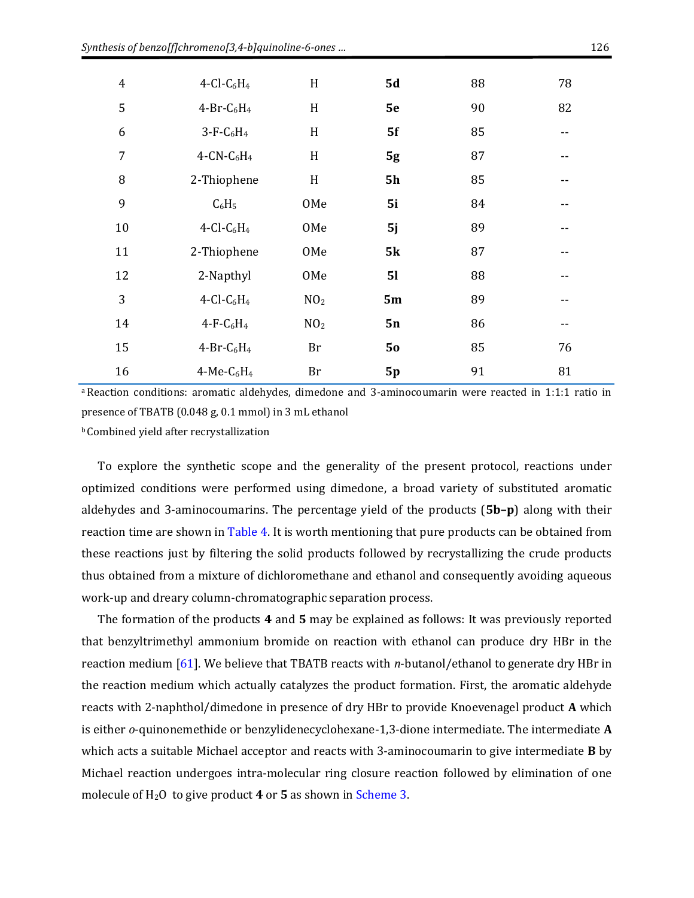| $\overline{4}$ | $4$ -Cl-C <sub>6</sub> H <sub>4</sub> | H               | <b>5d</b> | 88 | 78 |
|----------------|---------------------------------------|-----------------|-----------|----|----|
| 5              | $4-Br-C6H4$                           | H               | 5e        | 90 | 82 |
| 6              | $3-F-C6H4$                            | H               | 5f        | 85 | -- |
| 7              | $4$ -CN-C <sub>6</sub> H <sub>4</sub> | H               | 5g        | 87 |    |
| 8              | 2-Thiophene                           | H               | <b>5h</b> | 85 |    |
| 9              | $C_6H_5$                              | OMe             | 5i        | 84 | -- |
| 10             | $4$ -Cl-C <sub>6</sub> H <sub>4</sub> | OMe             | 5j        | 89 |    |
| 11             | 2-Thiophene                           | OMe             | 5k        | 87 |    |
| 12             | 2-Napthyl                             | OMe             | 51        | 88 | -- |
| 3              | $4$ -Cl-C <sub>6</sub> H <sub>4</sub> | NO <sub>2</sub> | 5m        | 89 | -- |
| 14             | $4-F-C6H4$                            | NO <sub>2</sub> | 5n        | 86 | -- |
| 15             | $4-Br-C6H4$                           | Br              | 50        | 85 | 76 |
| 16             | $4-Me-C6H4$                           | Br              | 5p        | 91 | 81 |

<sup>a</sup> Reaction conditions: aromatic aldehydes, dimedone and 3-aminocoumarin were reacted in 1:1:1 ratio in presence of TBATB (0.048 g, 0.1 mmol) in 3 mL ethanol

<sup>b</sup> Combined yield after recrystallization

To explore the synthetic scope and the generality of the present protocol, reactions under optimized conditions were performed using dimedone, a broad variety of substituted aromatic aldehydes and 3-aminocoumarins. The percentage yield of the products (**5b–p**) along with their reaction time are shown in [Table 4.](#page-10-1) It is worth mentioning that pure products can be obtained from these reactions just by filtering the solid products followed by recrystallizing the crude products thus obtained from a mixture of dichloromethane and ethanol and consequently avoiding aqueous work-up and dreary column-chromatographic separation process.

The formation of the products **4** and **5** may be explained as follows: It was previously reported that benzyltrimethyl ammonium bromide on reaction with ethanol can produce dry HBr in the reaction medium [\[61\]](#page-16-9). We believe that TBATB reacts with *n*-butanol/ethanol to generate dry HBr in the reaction medium which actually catalyzes the product formation. First, the aromatic aldehyde reacts with 2-naphthol/dimedone in presence of dry HBr to provide Knoevenagel product **A** which is either *o*-quinonemethide or benzylidenecyclohexane-1,3-dione intermediate. The intermediate **A** which acts a suitable Michael acceptor and reacts with 3-aminocoumarin to give intermediate **B** by Michael reaction undergoes intra-molecular ring closure reaction followed by elimination of one molecule of H2O to give product **4** or **5** as shown in [Scheme 3.](#page-13-0)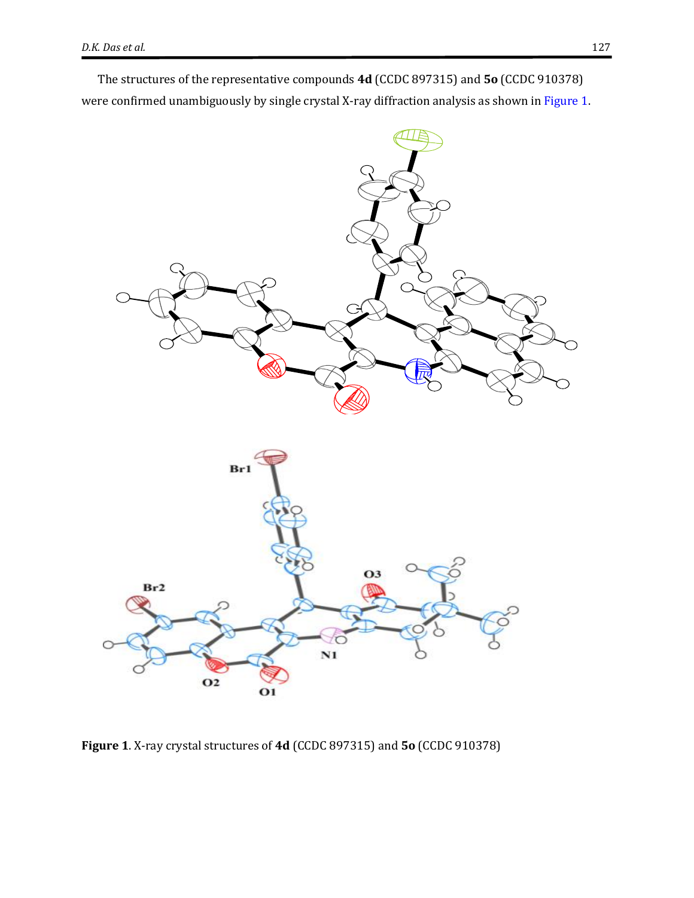The structures of the representative compounds **4d** (CCDC 897315) and **5o** (CCDC 910378) were confirmed unambiguously by single crystal X-ray diffraction analysis as shown in [Figure 1.](#page-12-0)



<span id="page-12-0"></span>**Figure 1**. X-ray crystal structures of **4d** (CCDC 897315) and **5o** (CCDC 910378)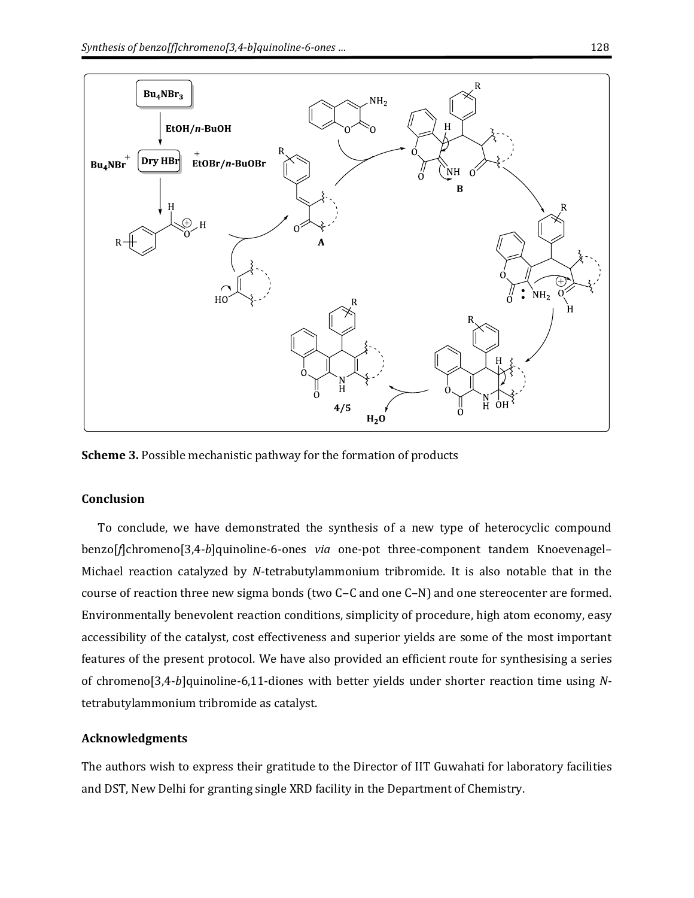

<span id="page-13-0"></span>**Scheme 3.** Possible mechanistic pathway for the formation of products

#### **Conclusion**

To conclude, we have demonstrated the synthesis of a new type of heterocyclic compound benzo[*f*]chromeno[3,4-*b*]quinoline-6-ones *via* one-pot three-component tandem Knoevenagel– Michael reaction catalyzed by *N*-tetrabutylammonium tribromide. It is also notable that in the course of reaction three new sigma bonds (two C–C and one C–N) and one stereocenter are formed. Environmentally benevolent reaction conditions, simplicity of procedure, high atom economy, easy accessibility of the catalyst, cost effectiveness and superior yields are some of the most important features of the present protocol. We have also provided an efficient route for synthesising a series of chromeno[3,4-*b*]quinoline-6,11-diones with better yields under shorter reaction time using *N*tetrabutylammonium tribromide as catalyst.

#### **Acknowledgments**

The authors wish to express their gratitude to the Director of IIT Guwahati for laboratory facilities and DST, New Delhi for granting single XRD facility in the Department of Chemistry.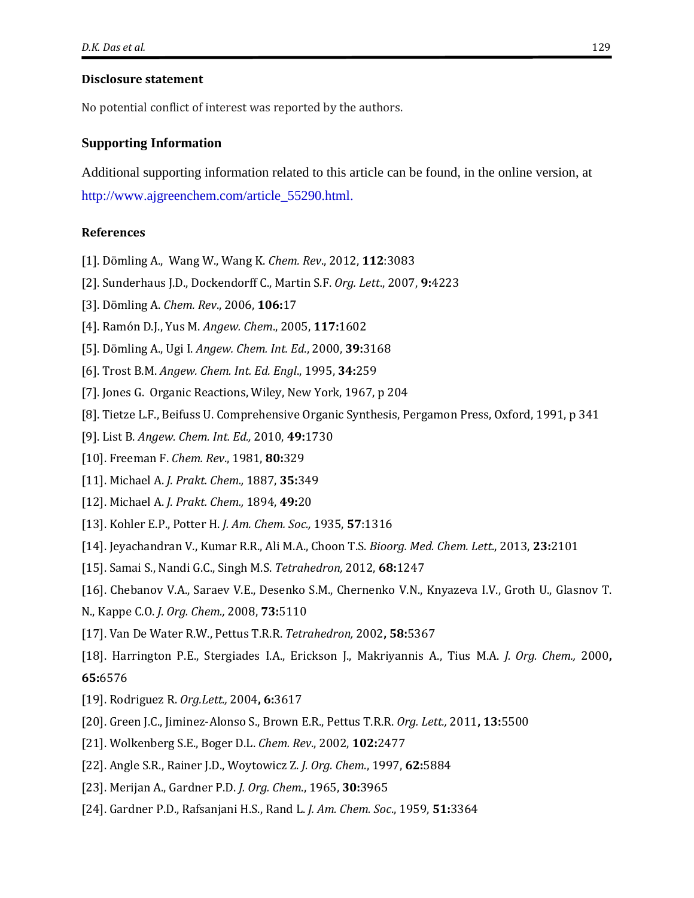#### **Disclosure statement**

No potential conflict of interest was reported by the authors.

#### **Supporting Information**

Additional supporting information related to this article can be found, in the online version, at http://www.ajgreenchem.com/article\_55290.html.

#### **References**

- <span id="page-14-0"></span>[1]. Dömling A., Wang W., Wang K. *Chem. Rev*., 2012, **112**:3083
- [2]. Sunderhaus J.D., Dockendorff C., Martin S.F. *Org. Lett*., 2007, **9:**4223
- <span id="page-14-1"></span>[3]. Dömling A. *Chem. Rev*., 2006, **106:**17
- <span id="page-14-2"></span>[4]. Ramón D.J., Yus M. *Angew. Chem*., 2005, **117:**1602
- [5]. Dömling A., Ugi I. *Angew. Chem. Int. Ed*., 2000, **39:**3168
- <span id="page-14-3"></span>[6]. Trost B.M. *Angew. Chem. Int. Ed. Engl*., 1995, **34:**259
- <span id="page-14-4"></span>[7]. Jones G. Organic Reactions, Wiley, New York, 1967, p 204
- [8]. Tietze L.F., Beifuss U. Comprehensive Organic Synthesis, Pergamon Press, Oxford, 1991, p 341
- [9]. List B. *Angew. Chem. Int. Ed.,* 2010, **49:**1730
- <span id="page-14-5"></span>[10]. Freeman F. *Chem. Rev*., 1981, **80:**329
- <span id="page-14-6"></span>[11]. Michael A. *J. Prakt. Chem.,* 1887, **35:**349
- [12]. Michael A. *J. Prakt. Chem.,* 1894, **49:**20
- <span id="page-14-7"></span>[13]. Kohler E.P., Potter H. *J. Am. Chem. Soc.,* 1935, **57**:1316
- <span id="page-14-8"></span>[14]. Jeyachandran V., Kumar R.R., Ali M.A., Choon T.S. *Bioorg. Med. Chem. Lett*., 2013, **23:**2101
- [15]. Samai S., Nandi G.C., Singh M.S. *Tetrahedron,* 2012, **68:**1247
- <span id="page-14-9"></span>[16]. Chebanov V.A., Saraev V.E., Desenko S.M., Chernenko V.N., Knyazeva I.V., Groth U., Glasnov T.
- N., Kappe C.O. *J. Org. Chem.,* 2008, **73:**5110
- <span id="page-14-10"></span>[17]. Van De Water R.W., Pettus T.R.R. *Tetrahedron,* 2002**, 58:**5367
- [18]. Harrington P.E., Stergiades I.A., Erickson J., Makriyannis A., Tius M.A. *J. Org. Chem.,* 2000**, 65:**6576
- [19]. Rodriguez R. *Org.Lett.,* 2004**, 6:**3617
- <span id="page-14-11"></span>[20]. Green J.C., Jiminez-Alonso S., Brown E.R., Pettus T.R.R. *Org. Lett.,* 2011**, 13:**5500
- <span id="page-14-12"></span>[21]. Wolkenberg S.E., Boger D.L. *Chem. Rev*., 2002, **102:**2477
- <span id="page-14-13"></span>[22]. Angle S.R., Rainer J.D., Woytowicz Z. *J. Org. Chem*., 1997, **62:**5884
- [23]. Merijan A., Gardner P.D. *J. Org. Chem*., 1965, **30:**3965
- <span id="page-14-14"></span>[24]. Gardner P.D., Rafsanjani H.S., Rand L. *J. Am. Chem. Soc*., 1959, **51:**3364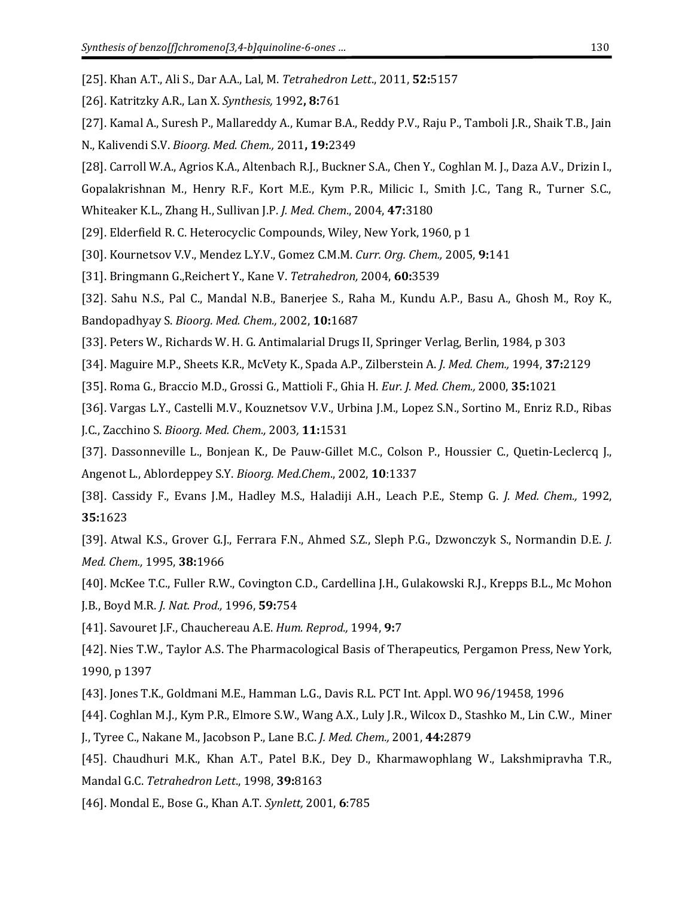- <span id="page-15-0"></span>[25]. Khan A.T., Ali S., Dar A.A., Lal, M. *Tetrahedron Lett*., 2011, **52:**5157
- <span id="page-15-1"></span>[26]. Katritzky A.R., Lan X. *Synthesis,* 1992**, 8:**761
- <span id="page-15-2"></span>[27]. Kamal A., Suresh P., Mallareddy A., Kumar B.A., Reddy P.V., Raju P., Tamboli J.R., Shaik T.B., Jain N., Kalivendi S.V. *Bioorg. Med. Chem.,* 2011**, 19:**2349
- <span id="page-15-3"></span>[28]. Carroll W.A., Agrios K.A., Altenbach R.J., Buckner S.A., Chen Y., Coghlan M. J., Daza A.V., Drizin I.,
- Gopalakrishnan M., Henry R.F., Kort M.E., Kym P.R., Milicic I., Smith J.C., Tang R., Turner S.C.,
- Whiteaker K.L., Zhang H., Sullivan J.P. *J. Med. Chem*., 2004, **47:**3180
- <span id="page-15-4"></span>[29]. Elderfield R. C. Heterocyclic Compounds, Wiley, New York, 1960, p 1
- [30]. Kournetsov V.V., Mendez L.Y.V., Gomez C.M.M. *Curr. Org. Chem.,* 2005, **9:**141
- [31]. Bringmann G.,Reichert Y., Kane V. *Tetrahedron,* 2004, **60:**3539
- <span id="page-15-5"></span>[32]. Sahu N.S., Pal C., Mandal N.B., Banerjee S., Raha M., Kundu A.P., Basu A., Ghosh M., Roy K., Bandopadhyay S. *Bioorg. Med. Chem.,* 2002, **10:**1687
- <span id="page-15-6"></span>[33]. Peters W., Richards W. H. G. Antimalarial Drugs II, Springer Verlag, Berlin, 1984, p 303
- <span id="page-15-7"></span>[34]. Maguire M.P., Sheets K.R., McVety K., Spada A.P., Zilberstein A. *J. Med. Chem.,* 1994, **37:**2129
- [35]. Roma G., Braccio M.D., Grossi G., Mattioli F., Ghia H. *Eur. J. Med. Chem.,* 2000, **35:**1021
- [36]. Vargas L.Y., Castelli M.V., Kouznetsov V.V., Urbina J.M., Lopez S.N., Sortino M., Enriz R.D., Ribas J.C., Zacchino S. *Bioorg. Med. Chem.,* 2003*,* **11:**1531
- <span id="page-15-8"></span>[37]. Dassonneville L., Bonjean K., De Pauw-Gillet M.C., Colson P., Houssier C., Quetin-Leclercq J., Angenot L., Ablordeppey S.Y. *Bioorg. Med.Chem*., 2002, **10**:1337
- <span id="page-15-9"></span>[38]. Cassidy F., Evans J.M., Hadley M.S., Haladiji A.H., Leach P.E., Stemp G. *J. Med. Chem.,* 1992, **35:**1623
- [39]. Atwal K.S., Grover G.J., Ferrara F.N., Ahmed S.Z., Sleph P.G., Dzwonczyk S., Normandin D.E. *J. Med. Chem.,* 1995, **38:**1966
- <span id="page-15-10"></span>[40]. McKee T.C., Fuller R.W., Covington C.D., Cardellina J.H., Gulakowski R.J., Krepps B.L., Mc Mohon J.B., Boyd M.R. *J. Nat. Prod.,* 1996, **59:**754
- <span id="page-15-11"></span>[41]. Savouret J.F., Chauchereau A.E. *Hum. Reprod.,* 1994, **9:**7
- <span id="page-15-12"></span>[42]. Nies T.W., Taylor A.S. The Pharmacological Basis of Therapeutics, Pergamon Press, New York, 1990, p 1397
- <span id="page-15-13"></span>[43]. Jones T.K., Goldmani M.E., Hamman L.G., Davis R.L. PCT Int. Appl. WO 96/19458, 1996
- <span id="page-15-14"></span>[44]. Coghlan M.J., Kym P.R., Elmore S.W., Wang A.X., Luly J.R., Wilcox D., Stashko M., Lin C.W., Miner
- J., Tyree C., Nakane M., Jacobson P., Lane B.C. *J. Med. Chem.,* 2001, **44:**2879
- <span id="page-15-15"></span>[45]. Chaudhuri M.K., Khan A.T., Patel B.K., Dey D., Kharmawophlang W., Lakshmipravha T.R., Mandal G.C. *Tetrahedron Lett*., 1998, **39:**8163
- <span id="page-15-16"></span>[46]. Mondal E., Bose G., Khan A.T. *Synlett,* 2001, **6**:785